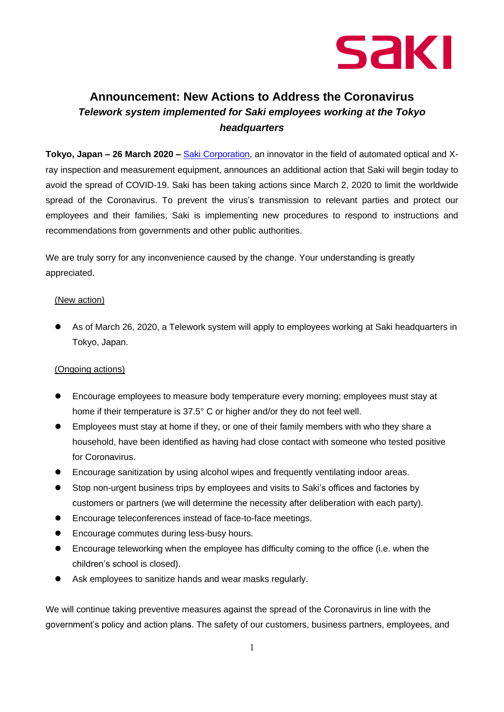

## **Announcement: New Actions to Address the Coronavirus** *Telework system implemented for Saki employees working at the Tokyo headquarters*

**Tokyo, Japan – 26 March 2020 –** [Saki Corporation,](http://www.sakiglobal.com/) an innovator in the field of automated optical and Xray inspection and measurement equipment, announces an additional action that Saki will begin today to avoid the spread of COVID-19. Saki has been taking actions since March 2, 2020 to limit the worldwide spread of the Coronavirus. To prevent the virus's transmission to relevant parties and protect our employees and their families, Saki is implementing new procedures to respond to instructions and recommendations from governments and other public authorities.

We are truly sorry for any inconvenience caused by the change. Your understanding is greatly appreciated.

## (New action)

⚫ As of March 26, 2020, a Telework system will apply to employees working at Saki headquarters in Tokyo, Japan.

## (Ongoing actions)

- ⚫ Encourage employees to measure body temperature every morning; employees must stay at home if their temperature is 37.5° C or higher and/or they do not feel well.
- ⚫ Employees must stay at home if they, or one of their family members with who they share a household, have been identified as having had close contact with someone who tested positive for Coronavirus.
- ⚫ Encourage sanitization by using alcohol wipes and frequently ventilating indoor areas.
- Stop non-urgent business trips by employees and visits to Saki's offices and factories by customers or partners (we will determine the necessity after deliberation with each party).
- Encourage teleconferences instead of face-to-face meetings.
- ⚫ Encourage commutes during less-busy hours.
- Encourage teleworking when the employee has difficulty coming to the office (i.e. when the children's school is closed).
- Ask employees to sanitize hands and wear masks regularly.

We will continue taking preventive measures against the spread of the Coronavirus in line with the government's policy and action plans. The safety of our customers, business partners, employees, and